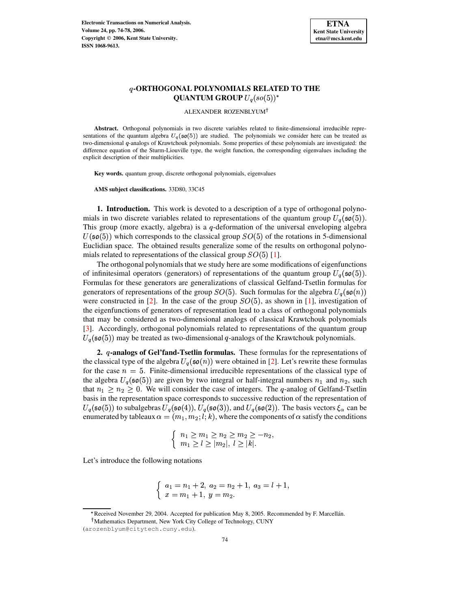

# **-ORTHOGONAL POLYNOMIALS RELATED TO THE QUANTUM GROUP**  $U_q(so(5))^*$

ALEXANDER ROZENBLYUM

**Abstract.** Orthogonal polynomials in two discrete variables related to finite-dimensional irreducible representations of the quantum algebra  $U_q(\mathfrak{so}(5))$  are studied. The polynomials we consider here can be treated as two-dimensional q-analogs of Krawtchouk polynomials. Some properties of these polynomials are investigated: the difference equation of the Sturm-Liouville type, the weight function, the corresponding eigenvalues including the explicit description of their multiplicities.

**Key words.** quantum group, discrete orthogonal polynomials, eigenvalues

**AMS subject classifications.** 33D80, 33C45

**1. Introduction.** This work is devoted to a description of a type of orthogonal polynomials in two discrete variables related to representations of the quantum group  $U_q(\mathfrak{so}(5))$ . This group (more exactly, algebra) is a  $q$ -deformation of the universal enveloping algebra  $U(\mathfrak{so}(5))$  which corresponds to the classical group  $SO(5)$  of the rotations in 5-dimensional Euclidian space. The obtained results generalize some of the results on orthogonal polynomials related to representations of the classical group  $SO(5)$  [\[1\]](#page-4-0).

The orthogonal polynomials that we study here are some modifications of eigenfunctions of infinitesimal operators (generators) of representations of the quantum group  $U_q(\mathfrak{so}(5))$ . Formulas for these generators are generalizations of classical Gelfand-Tsetlin formulas for generators of representations of the group  $SO(5)$ . Such formulas for the algebra  $U_q(\mathfrak{so}(n))$ were constructed in [\[2\]](#page-4-1). In the case of the group  $SO(5)$ , as shown in [\[1\]](#page-4-0), investigation of the eigenfunctions of generators of representation lead to a class of orthogonal polynomials that may be considered as two-dimensional analogs of classical Krawtchouk polynomials [\[3\]](#page-4-2). Accordingly, orthogonal polynomials related to representations of the quantum group  $U_q(\mathfrak{so}(5))$  may be treated as two-dimensional q-analogs of the Krawtchouk polynomials.

**2. -analogs of Gel'fand-Tsetlin formulas.** These formulas for the representations of the classical type of the algebra  $U_q(\mathfrak{so}(n))$  were obtained in [\[2\]](#page-4-1). Let's rewrite these formulas for the case  $n=5$ . Finite-dimensional irreducible representations of the classical type of the algebra  $U_q(\mathfrak{so}(5))$  are given by two integral or half-integral numbers  $n_1$  and  $n_2$ , such that  $n_1 \geq n_2 \geq 0$ . We will consider the case of integers. The q-analog of Gelfand-Tsetlin basis in the representation space corresponds to successive reduction of the representation of  $U_q(\mathfrak{so}(5))$  to subalgebras  $U_q(\mathfrak{so}(4))$ ,  $U_q(\mathfrak{so}(3))$ , and  $U_q(\mathfrak{so}(2))$ . The basis vectors  $\xi_\alpha$  can be enumerated by tableaux  $\alpha = (m_1, m_2; l; k)$ , where the components of  $\alpha$  satisfy the conditions

$$
\begin{cases} n_1 \geq m_1 \geq n_2 \geq m_2 \geq -n_2, \\ m_1 \geq l \geq |m_2|, l \geq |k|. \end{cases}
$$

Let's introduce the following notations

$$
\begin{cases}\n a_1 = n_1 + 2, \ a_2 = n_2 + 1, \ a_3 = l + 1, \\
 x = m_1 + 1, \ y = m_2.\n\end{cases}
$$

<sup>\*</sup> Received November 29, 2004. Accepted for publication May 8, 2005. Recommended by F. Marcellán.

<sup>&</sup>lt;sup>†</sup> Mathematics Department, New York City College of Technology, CUNY

<sup>(</sup>arozenblyum@citytech.cuny.edu).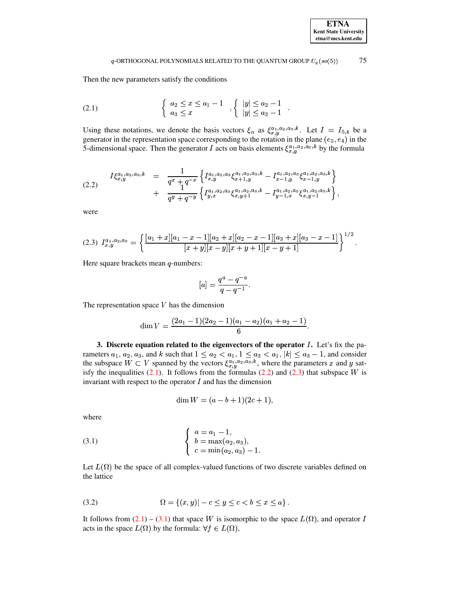## $q$ -ORTHOGONAL POLYNOMIALS RELATED TO THE QUANTUM GROUP  $U_q(so(5))$  75

Then the new parameters satisfy the conditions

<span id="page-1-0"></span>(2.1) 
$$
\begin{cases} a_2 \leq x \leq a_1 - 1 \\ a_3 \leq x \end{cases}, \begin{cases} |y| \leq a_2 - 1 \\ |y| \leq a_3 - 1 \end{cases}.
$$

Using these notations, we denote the basis vectors  $\xi_{\alpha}$  as  $\xi_{\alpha}^{a_1, a_2, a_3, k}$ . Let  $I = I_{5,4}$  be a generator in the representation space corresponding to the rotation in the plane ( $e_5, e_4$ ) in the 5-dimensional space. Then the generator I acts on basis elements  $\xi_{x,y}^{a_1,a_2,a_3,k}$  by the formula

<span id="page-1-1"></span>
$$
(2.2) \quad I\xi_{x,y}^{a_1,a_2,a_3,k} = \frac{1}{q^x+q^{-x}} \left\{ I_{x,y}^{a_1,a_2,a_3} \xi_{x+1,y}^{a_1,a_2,a_3,k} - I_{x-1,y}^{a_1,a_2,a_3} \xi_{x-1,y}^{a_1,a_2,a_3,k} \right\} + \frac{1}{q^y+q^{-y}} \left\{ I_{y,x}^{a_1,a_2,a_3} \xi_{x,y+1}^{a_1,a_2,a_3,k} - I_{y-1,x}^{a_1,a_2,a_3} \xi_{x,y-1}^{a_1,a_2,a_3,k} \right\},
$$

were

<span id="page-1-2"></span>
$$
(2.3) \ I^{a_1, a_2, a_3}_{x,y} = \left\{ \frac{[a_1 + x][a_1 - x - 1][a_2 + x][a_2 - x - 1][a_3 + x][a_3 - x - 1]}{[x + y][x - y][x + y + 1][x - y + 1]} \right\}^{1/2}.
$$

Here square brackets mean  $q$ -numbers:

$$
[a]=\frac{q^a-q^{-a}}{q-q^{-1}}.
$$

The representation space  $V$  has the dimension

$$
\dim V = \frac{(2a_1-1)(2a_2-1)(a_1-a_2)(a_1+a_2-1)}{6}.
$$

**3. Discrete equation related to the eigenvectors of the operator** <sup>z</sup>**.** Let's fix the parameters  $a_1, a_2, a_3$ , and k such that  $1 \le a_2 < a_1, 1 \le a_3 < a_1$ ,  $|k|$   $a_1, |k| \le a_3 - 1$ , and consider the subspace  $W \subset V$  spanned by the vectors  $\xi_{x,y}^{a_1,a_2,a_3,k}$ , where the parameters x and y satisfy the inequalities  $(2.1)$ . It follows from the formulas  $(2.2)$  and  $(2.3)$  that subspace W is invariant with respect to the operator  $I$  and has the dimension

$$
\dim W = (a - b + 1)(2c + 1),
$$

where

<span id="page-1-3"></span>(3.1) 
$$
\begin{cases} a = a_1 - 1, \\ b = \max(a_2, a_3), \\ c = \min(a_2, a_3) - 1. \end{cases}
$$

Let  $L(\Omega)$  be the space of all complex-valued functions of two discrete variables defined on the lattice

<span id="page-1-4"></span>(3.2) 
$$
\Omega = \{(x, y) | -c \le y \le c < b \le x \le a\}.
$$

It follows from  $(2.1) - (3.1)$  $(2.1) - (3.1)$  $(2.1) - (3.1)$  that space W is isomorphic to the space  $L(\Omega)$ , and operator I acts in the space  $L(\Omega)$  by the formula:  $\forall f \in L(\Omega)$ ,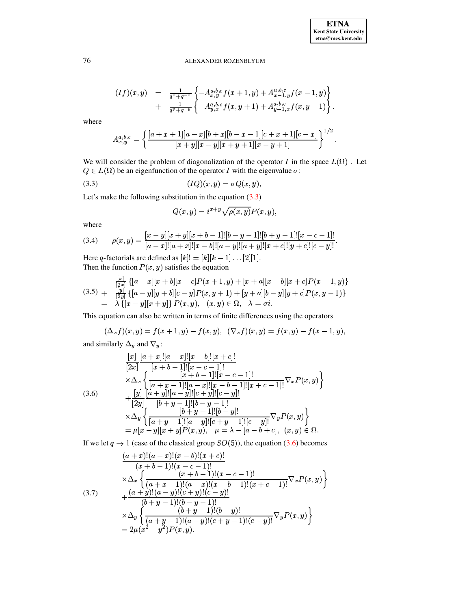# 76 ALEXANDER ROZENBLYUM

$$
(If)(x,y) = \frac{1}{q^x+q^{-x}}\left\{-A^{a,b,c}_{x,y}f(x+1,y)+A^{a,b,c}_{x-1,y}f(x-1,y)\right\} + \frac{1}{q^y+q^{-y}}\left\{-A^{a,b,c}_{y,x}f(x,y+1)+A^{a,b,c}_{y-1,x}f(x,y-1)\right\}.
$$

where

$$
A_{x,y}^{a,b,c}=\left\{\frac{[a+x+1][a-x][b+x][b-x-1][c+x+1][c-x]}{[x+y][x-y][x+y+1][x-y+1]}\right\}^{1/2}.
$$

We will consider the problem of diagonalization of the operator I in the space  $L(\Omega)$ . Let  $Q \in L(\Omega)$  be an eigenfunction of the operator I with the eigenvalue  $\sigma$ :

$$
(3.3) \t\t (IQ)(x,y) = \sigma Q(x,y),
$$

Let's make the following substitution in the equation [\(3.3\)](#page-2-0)

<span id="page-2-0"></span>
$$
Q(x,y) = i^{x+y} \sqrt{\rho(x,y)} P(x,y),
$$

where

<span id="page-2-4"></span>
$$
(3.4) \qquad \rho(x,y) = \frac{[x-y][x+y][x+b-1]![b-y-1]![b+y-1]![x-c-1]!}{[a-x]![a+x]![x-b]![a-y]![a+y]![x+c]![y+c]![y-c]!}.
$$

Here q-factorials are defined as  $[k]! = [k][k-1] \dots [2][1]$ . Then the function  $P(x, y)$  satisfies the equation

<span id="page-2-3"></span>
$$
(3.5) + \frac{\frac{[x]}{[2x]}}{[2y]} \{[a-x][x+b][x-c]P(x+1,y) + [x+a][x-b][x+c]P(x-1,y)\}
$$
  

$$
= \lambda \{[x-y][x+y]\} P(x,y), \quad (x,y) \in \Omega, \quad \lambda = \sigma i.
$$

This equation can also be written in terms of finite differences using the operators

$$
(\Delta_x f)(x, y) = f(x + 1, y) - f(x, y), \ (\nabla_x f)(x, y) = f(x, y) - f(x - 1, y),
$$

and similarly  $\Delta_y$  and  $\nabla_y$ :

<span id="page-2-1"></span>
$$
\begin{aligned}\n& [x] \ [a+x]! [a-x]! [x-b]! [x+c]! \\
& [2x] \ [x+b-1]! [x-c-1]! \\
&\times \Delta_x \left\{ \frac{[x+b-1]! [x-c-1]!}{[a+x-1]! [a-x]! [x-b-1]! [x+c-1]!} \nabla_x P(x,y) \right\} \\
& + [y] \ [a+y]! [a-y]! [c+y]! [c-y]! \\
&\times \Delta_y \left\{ \frac{[b+y-1]! [b-y-1]!}{[a+y-1]! [a-y]! [c+y-1]! [c-y]!} \nabla_y P(x,y) \right\} \\
& = \mu [x-y] [x+y] P(x,y), \quad \mu = \lambda - [a-b+c], \quad (x,y) \in \Omega.\n\end{aligned}
$$

If we let  $q \to 1$  (case of the classical group  $SO(5)$ ), the equation [\(3.6\)](#page-2-1) becomes

<span id="page-2-2"></span>
$$
\frac{(a+x)!(a-x)!(x-b)!(x+c)!}{(x+b-1)!(x-c-1)!}\n\times\Delta_x \left\{\n\frac{(x+b-1)!(x-c-1)!}{(a+x-1)!(a-x)!(x-b-1)!(x+c-1)!}\n\right\}\n+ \frac{(a+y)!(a-y)!(c+y)!(c-y)!}{(b+y-1)!(b-y-1)!}\n\times\Delta_y \left\{\n\frac{(b+y-1)!(b-y)!}{(a+y-1)!(a-y)!(c+y-1)!(c-y)!}\n\nabla_y P(x,y)\n\right\}\n= 2\mu(x^2-y^2)P(x,y).
$$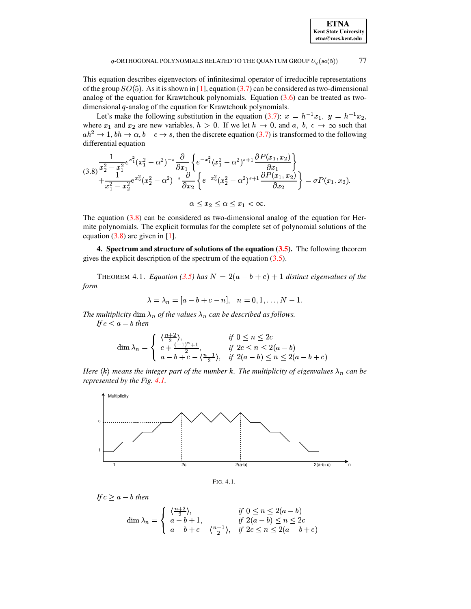| <b>ETNA</b>                  |
|------------------------------|
| <b>Kent State University</b> |
| etna@mcs.kent.edu            |

#### 77  $q$ -ORTHOGONAL POLYNOMIALS RELATED TO THE QUANTUM GROUP  $U_q(so(5))$

This equation describes eigenvectors of infinitesimal operator of irreducible representations of the group  $SO(5)$ . As it is shown in [1], equation (3.7) can be considered as two-dimensional analog of the equation for Krawtchouk polynomials. Equation  $(3.6)$  can be treated as twodimensional  $q$ -analog of the equation for Krawtchouk polynomials.

Let's make the following substitution in the equation (3.7):  $x = h^{-1}x_1$ ,  $y = h^{-1}x_2$ , where  $x_1$  and  $x_2$  are new variables,  $h > 0$ . If we let  $h \to 0$ , and  $a, b, c \to \infty$  such that  $ah^2 \to 1$ ,  $bh \to \alpha$ ,  $b - c \to s$ , then the discrete equation (3.7) is transformed to the following differential equation

<span id="page-3-0"></span>
$$
(3.8)\frac{\frac{1}{x_2^2 - x_1^2}e^{x_1^2}(x_1^2 - \alpha^2)^{-s}\frac{\partial}{\partial x_1}\left\{e^{-x_1^2}(x_1^2 - \alpha^2)^{s+1}\frac{\partial P(x_1, x_2)}{\partial x_1}\right\}}{\frac{1}{x_1^2 - x_2^2}e^{x_2^2}(x_2^2 - \alpha^2)^{-s}\frac{\partial}{\partial x_2}\left\{e^{-x_2^2}(x_2^2 - \alpha^2)^{s+1}\frac{\partial P(x_1, x_2)}{\partial x_2}\right\}} = \sigma P(x_1, x_2).
$$

$$
-\alpha \le x_2 \le \alpha \le x_1 < \infty.
$$

The equation  $(3.8)$  can be considered as two-dimensional analog of the equation for Hermite polynomials. The explicit formulas for the complete set of polynomial solutions of the equation  $(3.8)$  are given in [1].

4. Spectrum and structure of solutions of the equation  $(3.5)$ . The following theorem gives the explicit description of the spectrum of the equation  $(3.5)$ .

<span id="page-3-2"></span>THEOREM 4.1. Equation (3.5) has  $N = 2(a - b + c) + 1$  distinct eigenvalues of the form

$$
\lambda = \lambda_n = [a-b+c-n], \quad n = 0, 1, \ldots, N-1
$$

The multiplicity dim  $\lambda_n$  of the values  $\lambda_n$  can be described as follows.

If  $c < a - b$  then

$$
\dim \lambda_n = \begin{cases} \frac{\langle \frac{n+2}{2} \rangle}{2}, & \text{if } 0 \le n \le 2c\\ c + \frac{(-1)^n + 1}{2}, & \text{if } 2c \le n \le 2(a - b) \\ a - b + c - \langle \frac{n-1}{2} \rangle, & \text{if } 2(a - b) \le n \le 2(a - b + c) \end{cases}
$$

Here  $\langle k \rangle$  means the integer part of the number k. The multiplicity of eigenvalues  $\lambda_n$  can be represented by the Fig. 4.1.



<span id="page-3-1"></span>FIG. 4.1.

If  $c > a - b$  then

$$
\dim \lambda_n = \begin{cases} \n\frac{\langle \frac{n+2}{2} \rangle}{a - b + 1}, & \text{if } 2(a - b) \le n \le 2c \\
a - b + c - \frac{\langle \frac{n-1}{2} \rangle}{b}, & \text{if } 2c \le n \le 2(a - b + c)\n\end{cases}
$$